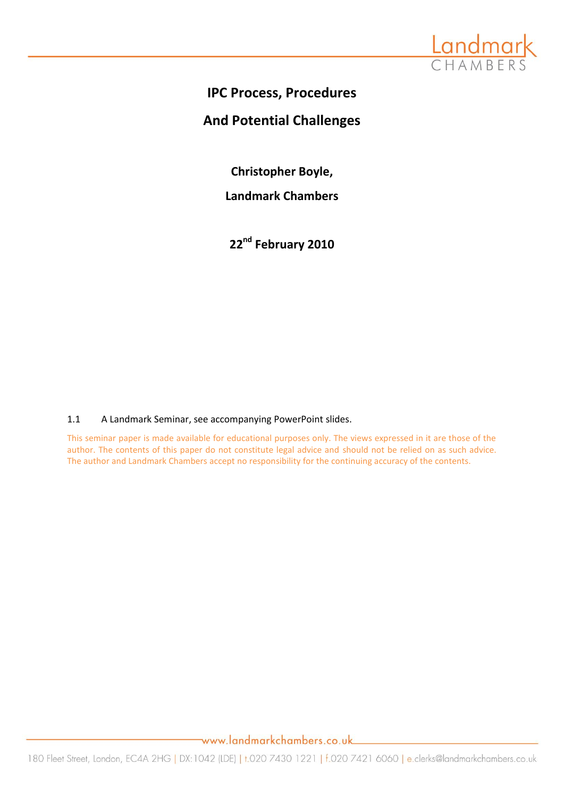

## **IPC Process, Procedures**

## **And Potential Challenges**

**Christopher Boyle,**

**Landmark Chambers**

**22nd February 2010**

## 1.1 A Landmark Seminar, see accompanying PowerPoint slides.

This seminar paper is made available for educational purposes only. The views expressed in it are those of the author. The contents of this paper do not constitute legal advice and should not be relied on as such advice. The author and Landmark Chambers accept no responsibility for the continuing accuracy of the contents.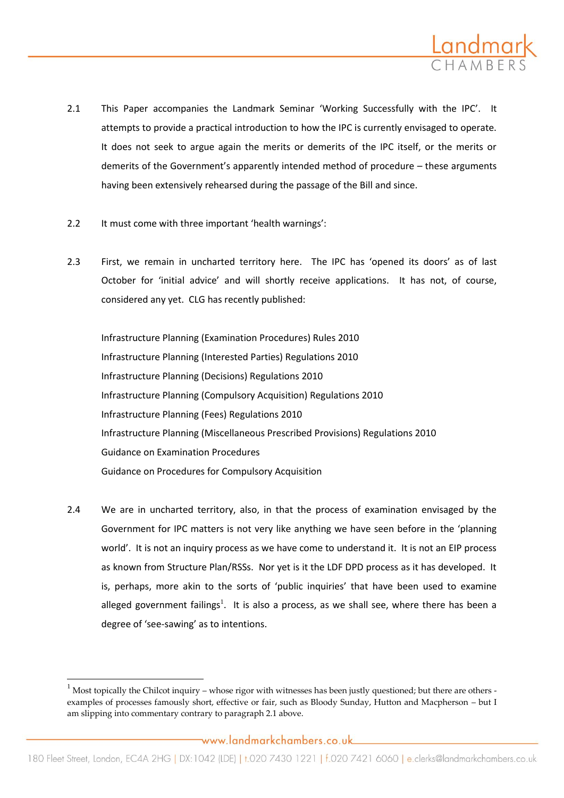

- 2.1 This Paper accompanies the Landmark Seminar 'Working Successfully with the IPC'. It attempts to provide a practical introduction to how the IPC is currently envisaged to operate. It does not seek to argue again the merits or demerits of the IPC itself, or the merits or demerits of the Government's apparently intended method of procedure – these arguments having been extensively rehearsed during the passage of the Bill and since.
- 2.2 It must come with three important 'health warnings':
- 2.3 First, we remain in uncharted territory here. The IPC has 'opened its doors' as of last October for 'initial advice' and will shortly receive applications. It has not, of course, considered any yet. CLG has recently published:

Infrastructure Planning (Examination Procedures) Rules 2010 Infrastructure Planning (Interested Parties) Regulations 2010 Infrastructure Planning (Decisions) Regulations 2010 Infrastructure Planning (Compulsory Acquisition) Regulations 2010 Infrastructure Planning (Fees) Regulations 2010 Infrastructure Planning (Miscellaneous Prescribed Provisions) Regulations 2010 Guidance on Examination Procedures Guidance on Procedures for Compulsory Acquisition

2.4 We are in uncharted territory, also, in that the process of examination envisaged by the Government for IPC matters is not very like anything we have seen before in the 'planning world'. It is not an inquiry process as we have come to understand it. It is not an EIP process as known from Structure Plan/RSSs. Nor yet is it the LDF DPD process as it has developed. It is, perhaps, more akin to the sorts of 'public inquiries' that have been used to examine alleged government failings<sup>1</sup>. It is also a process, as we shall see, where there has been a degree of 'see-sawing' as to intentions.

 $\overline{\phantom{a}}$ 

 $^1$  Most topically the Chilcot inquiry – whose rigor with witnesses has been justly questioned; but there are others examples of processes famously short, effective or fair, such as Bloody Sunday, Hutton and Macpherson – but I am slipping into commentary contrary to paragraph 2.1 above.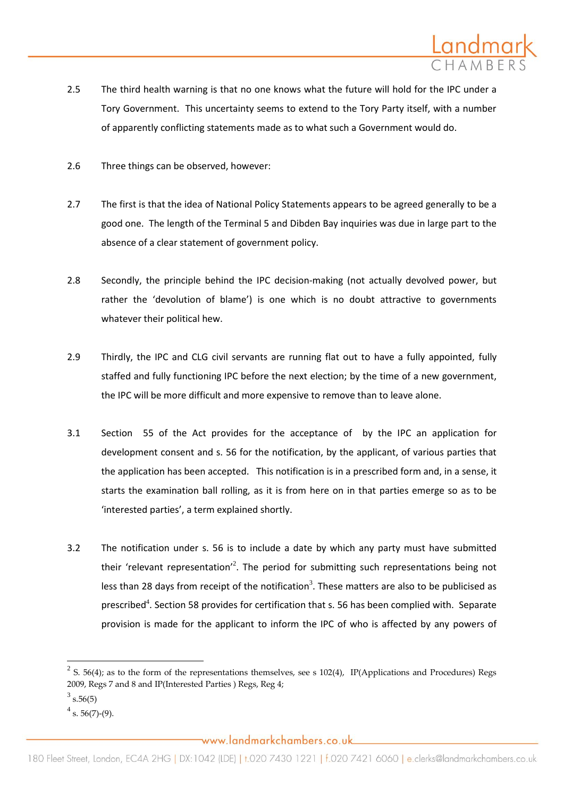

- 2.5 The third health warning is that no one knows what the future will hold for the IPC under a Tory Government. This uncertainty seems to extend to the Tory Party itself, with a number of apparently conflicting statements made as to what such a Government would do.
- 2.6 Three things can be observed, however:
- 2.7 The first is that the idea of National Policy Statements appears to be agreed generally to be a good one. The length of the Terminal 5 and Dibden Bay inquiries was due in large part to the absence of a clear statement of government policy.
- 2.8 Secondly, the principle behind the IPC decision-making (not actually devolved power, but rather the 'devolution of blame') is one which is no doubt attractive to governments whatever their political hew.
- 2.9 Thirdly, the IPC and CLG civil servants are running flat out to have a fully appointed, fully staffed and fully functioning IPC before the next election; by the time of a new government, the IPC will be more difficult and more expensive to remove than to leave alone.
- 3.1 Section 55 of the Act provides for the acceptance of by the IPC an application for development consent and s. 56 for the notification, by the applicant, of various parties that the application has been accepted. This notification is in a prescribed form and, in a sense, it starts the examination ball rolling, as it is from here on in that parties emerge so as to be 'interested parties', a term explained shortly.
- 3.2 The notification under s. 56 is to include a date by which any party must have submitted their 'relevant representation'<sup>2</sup>. The period for submitting such representations being not less than 28 days from receipt of the notification<sup>3</sup>. These matters are also to be publicised as prescribed<sup>4</sup>. Section 58 provides for certification that s. 56 has been complied with. Separate provision is made for the applicant to inform the IPC of who is affected by any powers of

 $\overline{\phantom{a}}$ 

 $2^2$  S. 56(4); as to the form of the representations themselves, see s 102(4), IP(Applications and Procedures) Regs 2009, Regs 7 and 8 and IP(Interested Parties ) Regs, Reg 4;

 $3\text{ s.}56(5)$ 

 $4$  s. 56(7)-(9).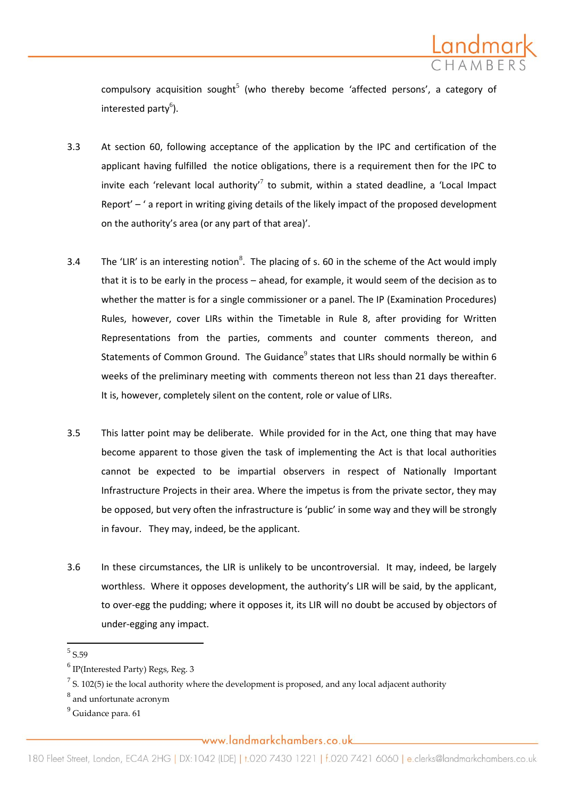

compulsory acquisition sought<sup>5</sup> (who thereby become 'affected persons', a category of interested party<sup>6</sup>).

- 3.3 At section 60, following acceptance of the application by the IPC and certification of the applicant having fulfilled the notice obligations, there is a requirement then for the IPC to invite each 'relevant local authority'<sup>7</sup> to submit, within a stated deadline, a 'Local Impact Report' – ' a report in writing giving details of the likely impact of the proposed development on the authority's area (or any part of that area)'.
- 3.4 The 'LIR' is an interesting notion<sup>8</sup>. The placing of s. 60 in the scheme of the Act would imply that it is to be early in the process – ahead, for example, it would seem of the decision as to whether the matter is for a single commissioner or a panel. The IP (Examination Procedures) Rules, however, cover LIRs within the Timetable in Rule 8, after providing for Written Representations from the parties, comments and counter comments thereon, and Statements of Common Ground. The Guidance $^9$  states that LIRs should normally be within 6 weeks of the preliminary meeting with comments thereon not less than 21 days thereafter. It is, however, completely silent on the content, role or value of LIRs.
- 3.5 This latter point may be deliberate. While provided for in the Act, one thing that may have become apparent to those given the task of implementing the Act is that local authorities cannot be expected to be impartial observers in respect of Nationally Important Infrastructure Projects in their area. Where the impetus is from the private sector, they may be opposed, but very often the infrastructure is 'public' in some way and they will be strongly in favour. They may, indeed, be the applicant.
- 3.6 In these circumstances, the LIR is unlikely to be uncontroversial. It may, indeed, be largely worthless. Where it opposes development, the authority's LIR will be said, by the applicant, to over-egg the pudding; where it opposes it, its LIR will no doubt be accused by objectors of under-egging any impact.

 $\overline{a}$ 

<sup>5</sup> S.59

 $^6$  IP(Interested Party) Regs, Reg. 3

 $^7$  S. 102(5) ie the local authority where the development is proposed, and any local adjacent authority

 $^8$  and unfortunate acronym

 $<sup>9</sup>$  Guidance para. 61</sup>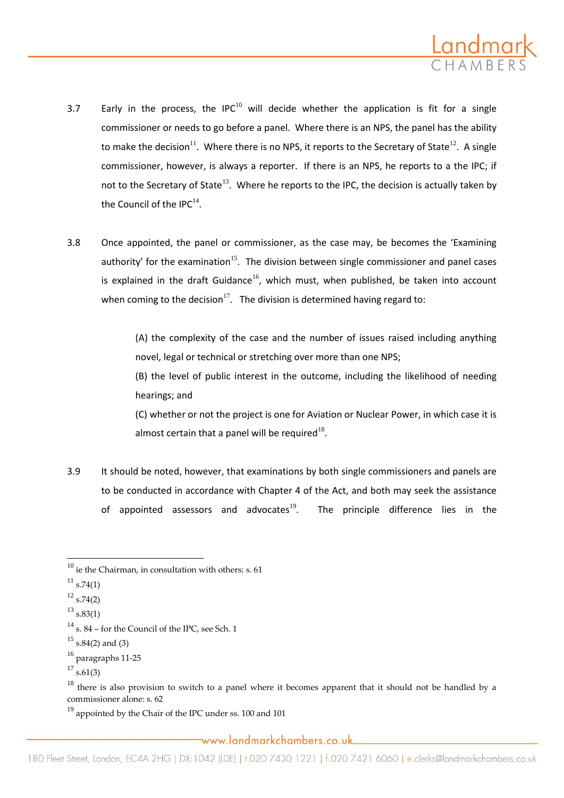

- 3.7 Early in the process, the IPC $^{10}$  will decide whether the application is fit for a single commissioner or needs to go before a panel. Where there is an NPS, the panel has the ability to make the decision<sup>11</sup>. Where there is no NPS, it reports to the Secretary of State<sup>12</sup>. A single commissioner, however, is always a reporter. If there is an NPS, he reports to a the IPC; if not to the Secretary of State<sup>13</sup>. Where he reports to the IPC, the decision is actually taken by the Council of the IPC $^{14}$ .
- 3.8 Once appointed, the panel or commissioner, as the case may, be becomes the 'Examining authority' for the examination<sup>15</sup>. The division between single commissioner and panel cases is explained in the draft Guidance<sup>16</sup>, which must, when published, be taken into account when coming to the decision<sup>17</sup>. The division is determined having regard to:

(A) the complexity of the case and the number of issues raised including anything novel, legal or technical or stretching over more than one NPS;

(B) the level of public interest in the outcome, including the likelihood of needing hearings; and

(C) whether or not the project is one for Aviation or Nuclear Power, in which case it is almost certain that a panel will be required<sup>18</sup>.

3.9 It should be noted, however, that examinations by both single commissioners and panels are to be conducted in accordance with Chapter 4 of the Act, and both may seek the assistance of appointed assessors and advocates<sup>19</sup>. The principle difference lies in the

 $^{11}$  s.74(1)

 $\overline{a}$ 

 $19$  appointed by the Chair of the IPC under ss. 100 and 101

 $^{10}$  ie the Chairman, in consultation with others: s. 61

 $12$  s.74(2)

 $^{13}$  s.83(1)

 $14$  s. 84 – for the Council of the IPC, see Sch. 1

 $^{15}$  s.84(2) and (3)

<sup>16</sup> paragraphs 11-25

 $17$  s.61(3)

 $18$  there is also provision to switch to a panel where it becomes apparent that it should not be handled by a commissioner alone: s. 62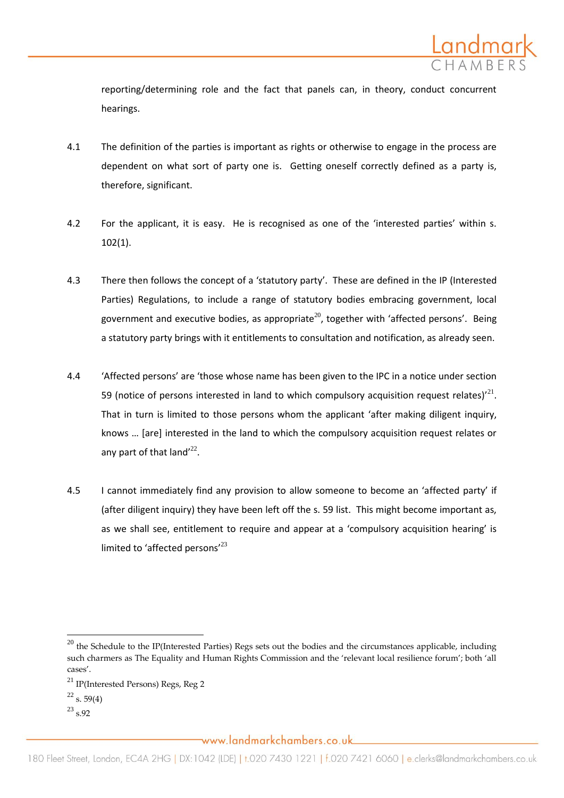

reporting/determining role and the fact that panels can, in theory, conduct concurrent hearings.

- 4.1 The definition of the parties is important as rights or otherwise to engage in the process are dependent on what sort of party one is. Getting oneself correctly defined as a party is, therefore, significant.
- 4.2 For the applicant, it is easy. He is recognised as one of the 'interested parties' within s. 102(1).
- 4.3 There then follows the concept of a 'statutory party'. These are defined in the IP (Interested Parties) Regulations, to include a range of statutory bodies embracing government, local government and executive bodies, as appropriate<sup>20</sup>, together with 'affected persons'. Being a statutory party brings with it entitlements to consultation and notification, as already seen.
- 4.4 'Affected persons' are 'those whose name has been given to the IPC in a notice under section 59 (notice of persons interested in land to which compulsory acquisition request relates)<sup> $21$ </sup>. That in turn is limited to those persons whom the applicant 'after making diligent inquiry, knows ... [are] interested in the land to which the compulsory acquisition request relates or any part of that land $^{\prime 22}$ .
- 4.5 I cannot immediately find any provision to allow someone to become an 'affected party' if (after diligent inquiry) they have been left off the s. 59 list. This might become important as, as we shall see, entitlement to require and appear at a 'compulsory acquisition hearing' is limited to 'affected persons'<sup>23</sup>

 $\overline{\phantom{a}}$ 

 $^{23}$  s.92

 $20$  the Schedule to the IP(Interested Parties) Regs sets out the bodies and the circumstances applicable, including such charmers as The Equality and Human Rights Commission and the 'relevant local resilience forum'; both 'all cases'.

<sup>21</sup> IP(Interested Persons) Regs, Reg 2

 $^{22}$  s. 59(4)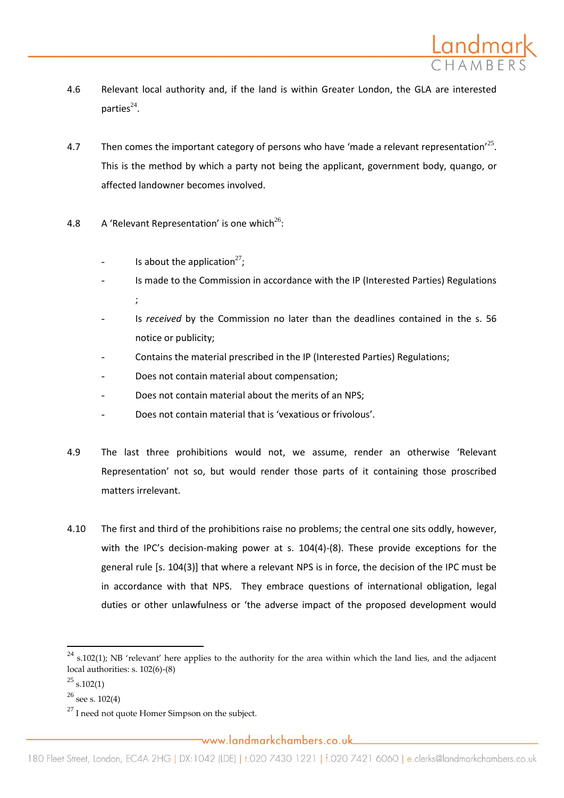

- 4.6 Relevant local authority and, if the land is within Greater London, the GLA are interested parties $^{24}$ .
- 4.7 Then comes the important category of persons who have 'made a relevant representation'<sup>25</sup>. This is the method by which a party not being the applicant, government body, quango, or affected landowner becomes involved.
- 4.8  $\,$  A 'Relevant Representation' is one which<sup>26</sup>:
	- Is about the application<sup>27</sup>;
	- Is made to the Commission in accordance with the IP (Interested Parties) Regulations ;
	- Is *received* by the Commission no later than the deadlines contained in the s. 56 notice or publicity;
	- Contains the material prescribed in the IP (Interested Parties) Regulations;
	- Does not contain material about compensation;
	- Does not contain material about the merits of an NPS;
	- Does not contain material that is 'vexatious or frivolous'.
- 4.9 The last three prohibitions would not, we assume, render an otherwise 'Relevant Representation' not so, but would render those parts of it containing those proscribed matters irrelevant.
- 4.10 The first and third of the prohibitions raise no problems; the central one sits oddly, however, with the IPC's decision-making power at s. 104(4)-(8). These provide exceptions for the general rule [s. 104(3)] that where a relevant NPS is in force, the decision of the IPC must be in accordance with that NPS. They embrace questions of international obligation, legal duties or other unlawfulness or 'the adverse impact of the proposed development would

 $24$  s.102(1); NB 'relevant' here applies to the authority for the area within which the land lies, and the adjacent local authorities: s. 102(6)-(8)

 $^{25}$  s.102(1)

 $26$  see s. 102(4)

 $^{27}$  I need not quote Homer Simpson on the subject.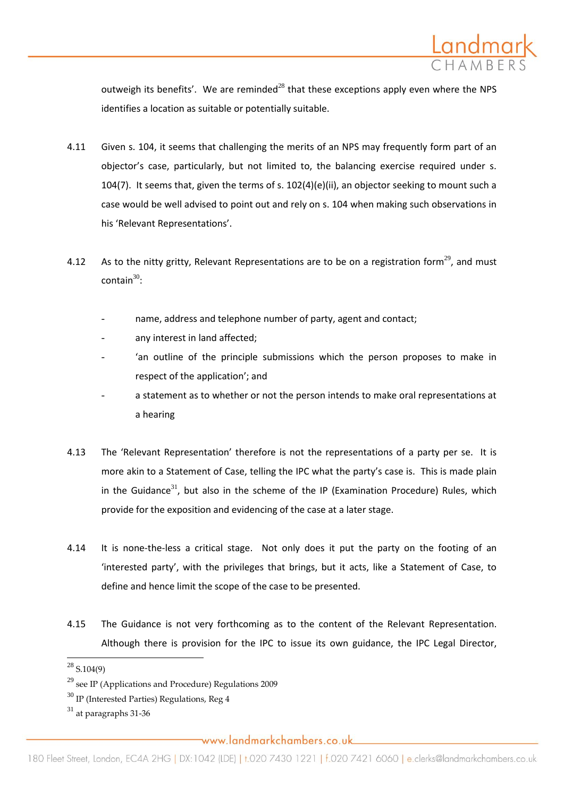

outweigh its benefits'. We are reminded<sup>28</sup> that these exceptions apply even where the NPS identifies a location as suitable or potentially suitable.

- 4.11 Given s. 104, it seems that challenging the merits of an NPS may frequently form part of an objector's case, particularly, but not limited to, the balancing exercise required under s. 104(7). It seems that, given the terms of s. 102(4)(e)(ii), an objector seeking to mount such a case would be well advised to point out and rely on s. 104 when making such observations in his 'Relevant Representations'.
- 4.12 As to the nitty gritty, Relevant Representations are to be on a registration form<sup>29</sup>, and must  $\text{contain}^{30}$ :
	- name, address and telephone number of party, agent and contact:
	- any interest in land affected:
	- 'an outline of the principle submissions which the person proposes to make in respect of the application'; and
	- a statement as to whether or not the person intends to make oral representations at a hearing
- 4.13 The 'Relevant Representation' therefore is not the representations of a party per se. It is more akin to a Statement of Case, telling the IPC what the party's case is. This is made plain in the Guidance<sup>31</sup>, but also in the scheme of the IP (Examination Procedure) Rules, which provide for the exposition and evidencing of the case at a later stage.
- 4.14 It is none-the-less a critical stage. Not only does it put the party on the footing of an 'interested party', with the privileges that brings, but it acts, like a Statement of Case, to define and hence limit the scope of the case to be presented.
- 4.15 The Guidance is not very forthcoming as to the content of the Relevant Representation. Although there is provision for the IPC to issue its own guidance, the IPC Legal Director,

 $\overline{\phantom{a}}$ 

 $^{28}$  S.104(9)

<sup>29</sup> see IP (Applications and Procedure) Regulations 2009

 $30$  IP (Interested Parties) Regulations, Reg 4

 $31$  at paragraphs 31-36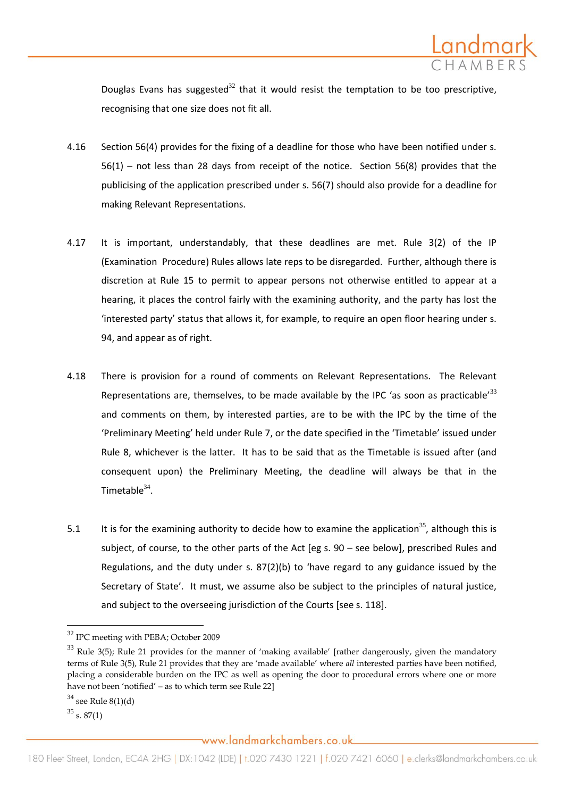

Douglas Evans has suggested<sup>32</sup> that it would resist the temptation to be too prescriptive, recognising that one size does not fit all.

- 4.16 Section 56(4) provides for the fixing of a deadline for those who have been notified under s. 56(1) – not less than 28 days from receipt of the notice. Section 56(8) provides that the publicising of the application prescribed under s. 56(7) should also provide for a deadline for making Relevant Representations.
- 4.17 It is important, understandably, that these deadlines are met. Rule 3(2) of the IP (Examination Procedure) Rules allows late reps to be disregarded. Further, although there is discretion at Rule 15 to permit to appear persons not otherwise entitled to appear at a hearing, it places the control fairly with the examining authority, and the party has lost the 'interested party' status that allows it, for example, to require an open floor hearing under s. 94, and appear as of right.
- 4.18 There is provision for a round of comments on Relevant Representations. The Relevant Representations are, themselves, to be made available by the IPC 'as soon as practicable'<sup>33</sup> and comments on them, by interested parties, are to be with the IPC by the time of the 'Preliminary Meeting' held under Rule 7, or the date specified in the 'Timetable' issued under Rule 8, whichever is the latter. It has to be said that as the Timetable is issued after (and consequent upon) the Preliminary Meeting, the deadline will always be that in the Timetable $34$ .
- 5.1 It is for the examining authority to decide how to examine the application<sup>35</sup>, although this is subject, of course, to the other parts of the Act [eg s. 90 – see below], prescribed Rules and Regulations, and the duty under s. 87(2)(b) to 'have regard to any guidance issued by the Secretary of State'. It must, we assume also be subject to the principles of natural justice, and subject to the overseeing jurisdiction of the Courts [see s. 118].

 $\overline{a}$ 

<sup>32</sup> IPC meeting with PEBA; October 2009

 $33$  Rule 3(5); Rule 21 provides for the manner of 'making available' [rather dangerously, given the mandatory terms of Rule 3(5), Rule 21 provides that they are 'made available' where *all* interested parties have been notified, placing a considerable burden on the IPC as well as opening the door to procedural errors where one or more have not been 'notified' – as to which term see Rule 22]

 $34$  see Rule 8(1)(d)

 $35$  s. 87(1)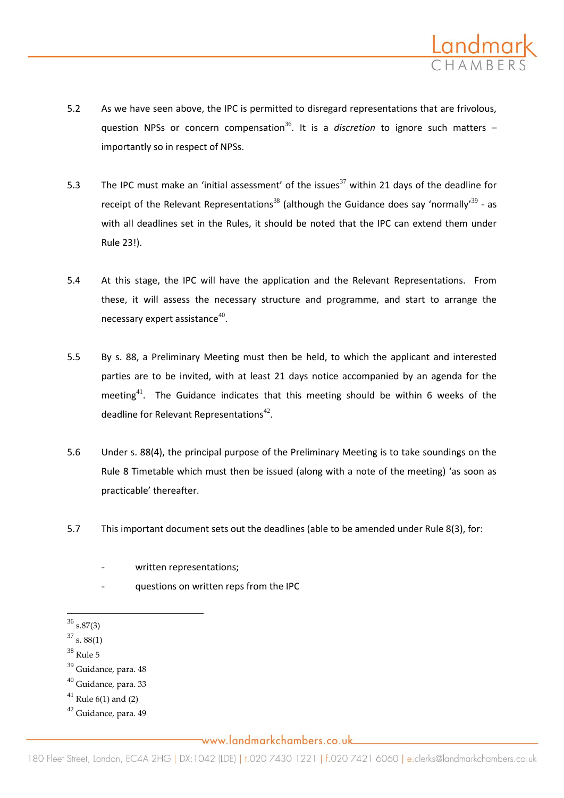

- 5.2 As we have seen above, the IPC is permitted to disregard representations that are frivolous, question NPSs or concern compensation<sup>36</sup>. It is a *discretion* to ignore such matters  $$ importantly so in respect of NPSs.
- 5.3 The IPC must make an 'initial assessment' of the issues<sup>37</sup> within 21 days of the deadline for receipt of the Relevant Representations<sup>38</sup> (although the Guidance does say 'normally'<sup>39</sup> - as with all deadlines set in the Rules, it should be noted that the IPC can extend them under Rule 23!).
- 5.4 At this stage, the IPC will have the application and the Relevant Representations. From these, it will assess the necessary structure and programme, and start to arrange the necessary expert assistance $^{40}$ .
- 5.5 By s. 88, a Preliminary Meeting must then be held, to which the applicant and interested parties are to be invited, with at least 21 days notice accompanied by an agenda for the meeting<sup>41</sup>. The Guidance indicates that this meeting should be within 6 weeks of the deadline for Relevant Representations<sup>42</sup>.
- 5.6 Under s. 88(4), the principal purpose of the Preliminary Meeting is to take soundings on the Rule 8 Timetable which must then be issued (along with a note of the meeting) 'as soon as practicable' thereafter.
- 5.7 This important document sets out the deadlines (able to be amended under Rule 8(3), for:

- questions on written reps from the IPC
- $\overline{\phantom{a}}$  $36$  s.87(3)
- $37$  s. 88(1)
- $38$  Rule 5
- <sup>39</sup> Guidance, para. 48
- <sup>40</sup> Guidance, para. 33

<sup>42</sup> Guidance, para. 49

written representations;

 $41$  Rule 6(1) and (2)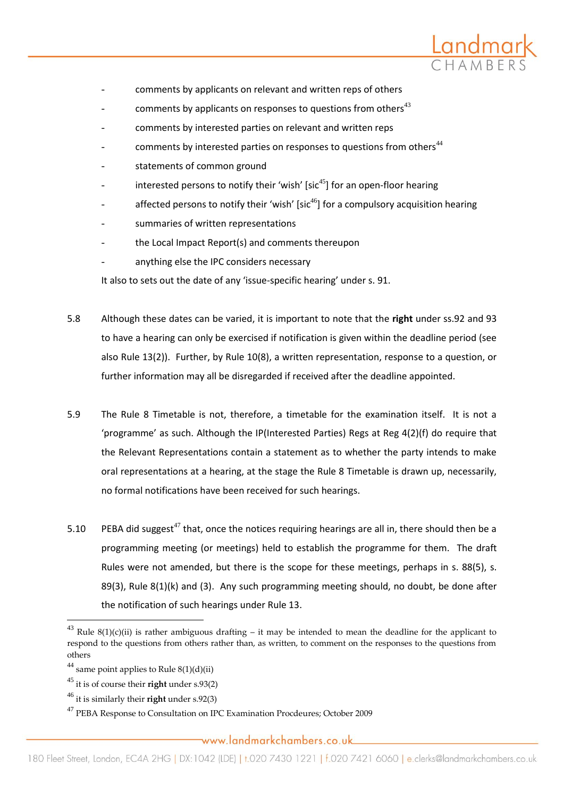

- comments by applicants on relevant and written reps of others
- comments by applicants on responses to questions from others<sup>43</sup>
- comments by interested parties on relevant and written reps
- comments by interested parties on responses to questions from others $44$
- statements of common ground
- interested persons to notify their 'wish' [sic<sup>45</sup>] for an open-floor hearing
- affected persons to notify their 'wish' [sic<sup>46</sup>] for a compulsory acquisition hearing
- summaries of written representations
- the Local Impact Report(s) and comments thereupon
- anything else the IPC considers necessary

It also to sets out the date of any 'issue-specific hearing' under s. 91.

- 5.8 Although these dates can be varied, it is important to note that the **right** under ss.92 and 93 to have a hearing can only be exercised if notification is given within the deadline period (see also Rule 13(2)). Further, by Rule 10(8), a written representation, response to a question, or further information may all be disregarded if received after the deadline appointed.
- 5.9 The Rule 8 Timetable is not, therefore, a timetable for the examination itself. It is not a 'programme' as such. Although the IP(Interested Parties) Regs at Reg 4(2)(f) do require that the Relevant Representations contain a statement as to whether the party intends to make oral representations at a hearing, at the stage the Rule 8 Timetable is drawn up, necessarily, no formal notifications have been received for such hearings.
- 5.10 PEBA did suggest<sup>47</sup> that, once the notices requiring hearings are all in, there should then be a programming meeting (or meetings) held to establish the programme for them. The draft Rules were not amended, but there is the scope for these meetings, perhaps in s. 88(5), s. 89(3), Rule 8(1)(k) and (3). Any such programming meeting should, no doubt, be done after the notification of such hearings under Rule 13.

l

<sup>&</sup>lt;sup>43</sup> Rule 8(1)(c)(ii) is rather ambiguous drafting – it may be intended to mean the deadline for the applicant to respond to the questions from others rather than, as written, to comment on the responses to the questions from others

<sup>&</sup>lt;sup>44</sup> same point applies to Rule  $8(1)(d)(ii)$ 

<sup>45</sup> it is of course their **right** under s.93(2)

<sup>46</sup> it is similarly their **right** under s.92(3)

<sup>47</sup> PEBA Response to Consultation on IPC Examination Procdeures; October 2009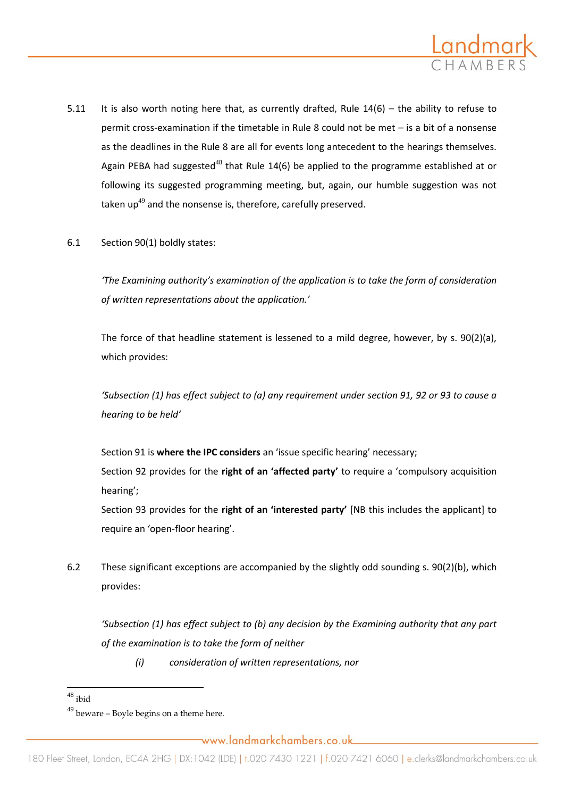

- 5.11 It is also worth noting here that, as currently drafted, Rule 14(6) the ability to refuse to permit cross-examination if the timetable in Rule 8 could not be met – is a bit of a nonsense as the deadlines in the Rule 8 are all for events long antecedent to the hearings themselves. Again PEBA had suggested<sup>48</sup> that Rule 14(6) be applied to the programme established at or following its suggested programming meeting, but, again, our humble suggestion was not taken up<sup>49</sup> and the nonsense is, therefore, carefully preserved.
- 6.1 Section 90(1) boldly states:

*'The Examining authority's examination of the application is to take the form of consideration of written representations about the application.'* 

The force of that headline statement is lessened to a mild degree, however, by s. 90(2)(a), which provides:

*'Subsection (1) has effect subject to (a) any requirement under section 91, 92 or 93 to cause a hearing to be held'*

Section 91 is **where the IPC considers** an 'issue specific hearing' necessary;

Section 92 provides for the **right of an 'affected party'** to require a 'compulsory acquisition hearing';

Section 93 provides for the **right of an 'interested party'** [NB this includes the applicant] to require an 'open-floor hearing'.

6.2 These significant exceptions are accompanied by the slightly odd sounding s. 90(2)(b), which provides:

*'Subsection (1) has effect subject to (b) any decision by the Examining authority that any part of the examination is to take the form of neither* 

*(i) consideration of written representations, nor*

 $\overline{a}$ 

 $48$  ibid

 $49$  beware – Boyle begins on a theme here.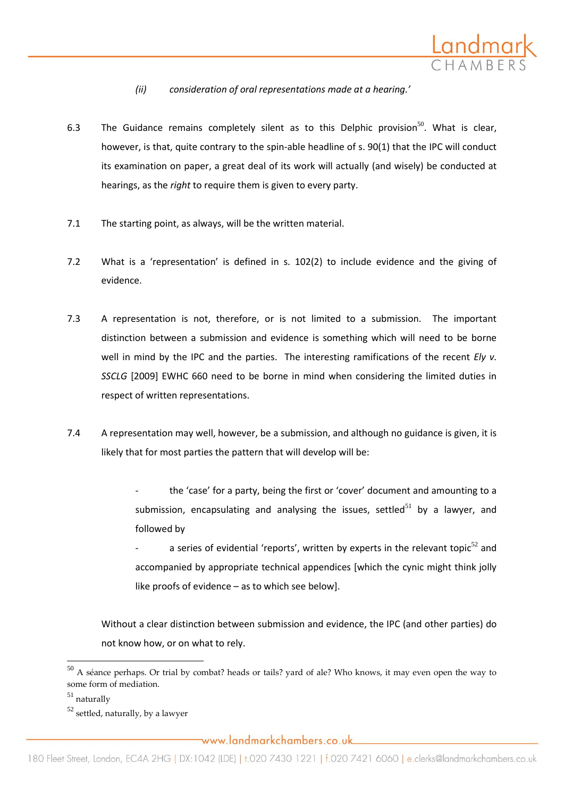

- *(ii) consideration of oral representations made at a hearing.'*
- 6.3 The Guidance remains completely silent as to this Delphic provision<sup>50</sup>. What is clear, however, is that, quite contrary to the spin-able headline of s. 90(1) that the IPC will conduct its examination on paper, a great deal of its work will actually (and wisely) be conducted at hearings, as the *right* to require them is given to every party.
- 7.1 The starting point, as always, will be the written material.
- 7.2 What is a 'representation' is defined in s. 102(2) to include evidence and the giving of evidence.
- 7.3 A representation is not, therefore, or is not limited to a submission. The important distinction between a submission and evidence is something which will need to be borne well in mind by the IPC and the parties. The interesting ramifications of the recent *Ely v. SSCLG* [2009] EWHC 660 need to be borne in mind when considering the limited duties in respect of written representations.
- 7.4 A representation may well, however, be a submission, and although no guidance is given, it is likely that for most parties the pattern that will develop will be:
	- the 'case' for a party, being the first or 'cover' document and amounting to a submission, encapsulating and analysing the issues, settled<sup>51</sup> by a lawyer, and followed by
	- a series of evidential 'reports', written by experts in the relevant topic<sup>52</sup> and accompanied by appropriate technical appendices [which the cynic might think jolly like proofs of evidence – as to which see below].

Without a clear distinction between submission and evidence, the IPC (and other parties) do not know how, or on what to rely.

 $\overline{\phantom{a}}$ 

<sup>50</sup> A séance perhaps. Or trial by combat? heads or tails? yard of ale? Who knows, it may even open the way to some form of mediation.

 $51$  naturally

 $52$  settled, naturally, by a lawyer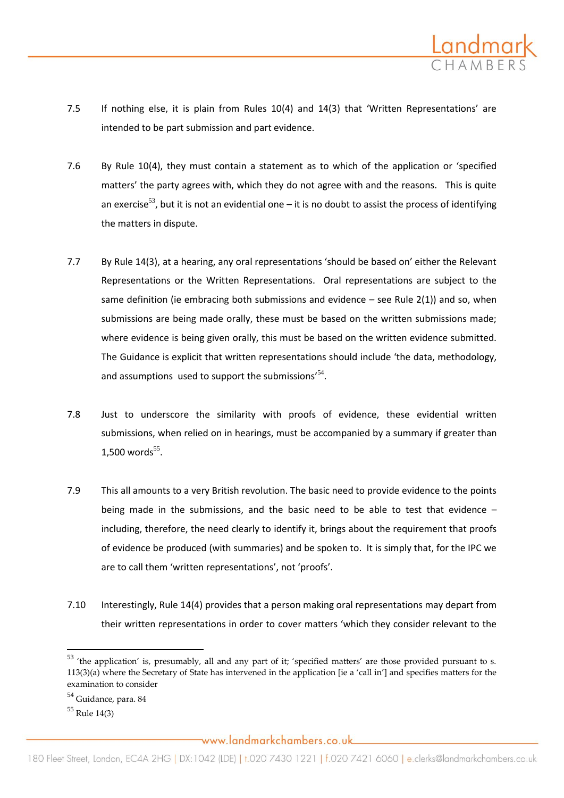

- 7.5 If nothing else, it is plain from Rules 10(4) and 14(3) that 'Written Representations' are intended to be part submission and part evidence.
- 7.6 By Rule 10(4), they must contain a statement as to which of the application or 'specified matters' the party agrees with, which they do not agree with and the reasons. This is quite an exercise<sup>53</sup>, but it is not an evidential one – it is no doubt to assist the process of identifying the matters in dispute.
- 7.7 By Rule 14(3), at a hearing, any oral representations 'should be based on' either the Relevant Representations or the Written Representations. Oral representations are subject to the same definition (ie embracing both submissions and evidence  $-$  see Rule 2(1)) and so, when submissions are being made orally, these must be based on the written submissions made; where evidence is being given orally, this must be based on the written evidence submitted. The Guidance is explicit that written representations should include 'the data, methodology, and assumptions used to support the submissions' $54$ .
- 7.8 Just to underscore the similarity with proofs of evidence, these evidential written submissions, when relied on in hearings, must be accompanied by a summary if greater than  $1,500$  words<sup>55</sup>.
- 7.9 This all amounts to a very British revolution. The basic need to provide evidence to the points being made in the submissions, and the basic need to be able to test that evidence – including, therefore, the need clearly to identify it, brings about the requirement that proofs of evidence be produced (with summaries) and be spoken to. It is simply that, for the IPC we are to call them 'written representations', not 'proofs'.
- 7.10 Interestingly, Rule 14(4) provides that a person making oral representations may depart from their written representations in order to cover matters 'which they consider relevant to the

 $\overline{\phantom{a}}$ 

 $53$  'the application' is, presumably, all and any part of it; 'specified matters' are those provided pursuant to s.  $113(3)(a)$  where the Secretary of State has intervened in the application [ie a 'call in'] and specifies matters for the examination to consider

<sup>54</sup> Guidance, para. 84

<sup>55</sup> Rule 14(3)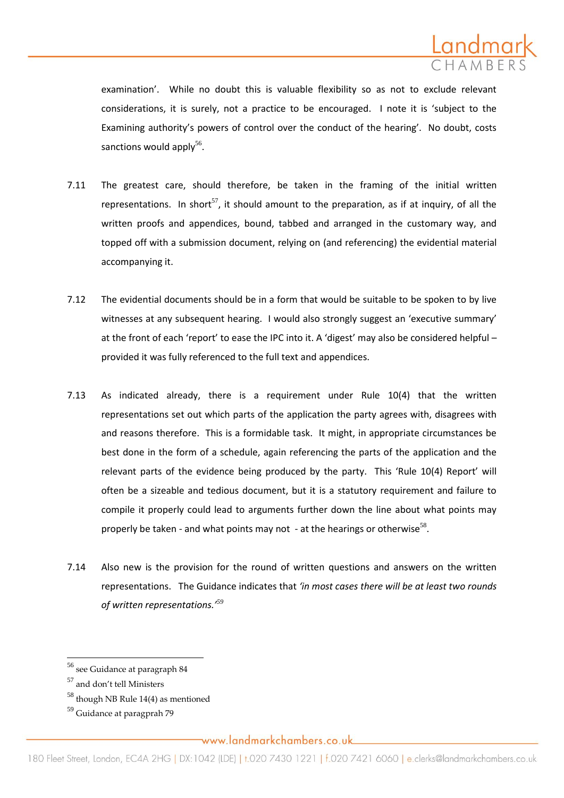

examination'. While no doubt this is valuable flexibility so as not to exclude relevant considerations, it is surely, not a practice to be encouraged. I note it is 'subject to the Examining authority's powers of control over the conduct of the hearing'. No doubt, costs sanctions would apply<sup>56</sup>.

- 7.11 The greatest care, should therefore, be taken in the framing of the initial written representations. In short<sup>57</sup>, it should amount to the preparation, as if at inquiry, of all the written proofs and appendices, bound, tabbed and arranged in the customary way, and topped off with a submission document, relying on (and referencing) the evidential material accompanying it.
- 7.12 The evidential documents should be in a form that would be suitable to be spoken to by live witnesses at any subsequent hearing. I would also strongly suggest an 'executive summary' at the front of each 'report' to ease the IPC into it. A 'digest' may also be considered helpful – provided it was fully referenced to the full text and appendices.
- 7.13 As indicated already, there is a requirement under Rule 10(4) that the written representations set out which parts of the application the party agrees with, disagrees with and reasons therefore. This is a formidable task. It might, in appropriate circumstances be best done in the form of a schedule, again referencing the parts of the application and the relevant parts of the evidence being produced by the party. This 'Rule 10(4) Report' will often be a sizeable and tedious document, but it is a statutory requirement and failure to compile it properly could lead to arguments further down the line about what points may properly be taken - and what points may not - at the hearings or otherwise<sup>58</sup>.
- 7.14 Also new is the provision for the round of written questions and answers on the written representations. The Guidance indicates that *'in most cases there will be at least two rounds of written representations.'<sup>59</sup>*

 $\overline{\phantom{a}}$ 

 $^{56}$  see Guidance at paragraph  $84$ 

<sup>57</sup> and don't tell Ministers

 $58$  though NB Rule 14(4) as mentioned

<sup>59</sup> Guidance at paragprah 79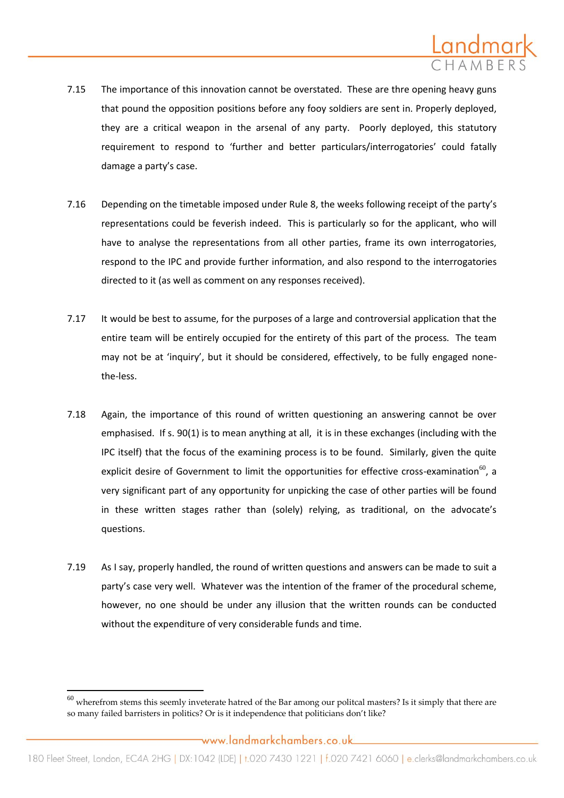

- 7.15 The importance of this innovation cannot be overstated. These are thre opening heavy guns that pound the opposition positions before any fooy soldiers are sent in. Properly deployed, they are a critical weapon in the arsenal of any party. Poorly deployed, this statutory requirement to respond to 'further and better particulars/interrogatories' could fatally damage a party's case.
- 7.16 Depending on the timetable imposed under Rule 8, the weeks following receipt of the party's representations could be feverish indeed. This is particularly so for the applicant, who will have to analyse the representations from all other parties, frame its own interrogatories, respond to the IPC and provide further information, and also respond to the interrogatories directed to it (as well as comment on any responses received).
- 7.17 It would be best to assume, for the purposes of a large and controversial application that the entire team will be entirely occupied for the entirety of this part of the process. The team may not be at 'inquiry', but it should be considered, effectively, to be fully engaged nonethe-less.
- 7.18 Again, the importance of this round of written questioning an answering cannot be over emphasised. If s. 90(1) is to mean anything at all, it is in these exchanges (including with the IPC itself) that the focus of the examining process is to be found. Similarly, given the quite explicit desire of Government to limit the opportunities for effective cross-examination<sup>60</sup>, a very significant part of any opportunity for unpicking the case of other parties will be found in these written stages rather than (solely) relying, as traditional, on the advocate's questions.
- 7.19 As I say, properly handled, the round of written questions and answers can be made to suit a party's case very well. Whatever was the intention of the framer of the procedural scheme, however, no one should be under any illusion that the written rounds can be conducted without the expenditure of very considerable funds and time.

 $^{60}$  wherefrom stems this seemly inveterate hatred of the Bar among our politcal masters? Is it simply that there are so many failed barristers in politics? Or is it independence that politicians don't like?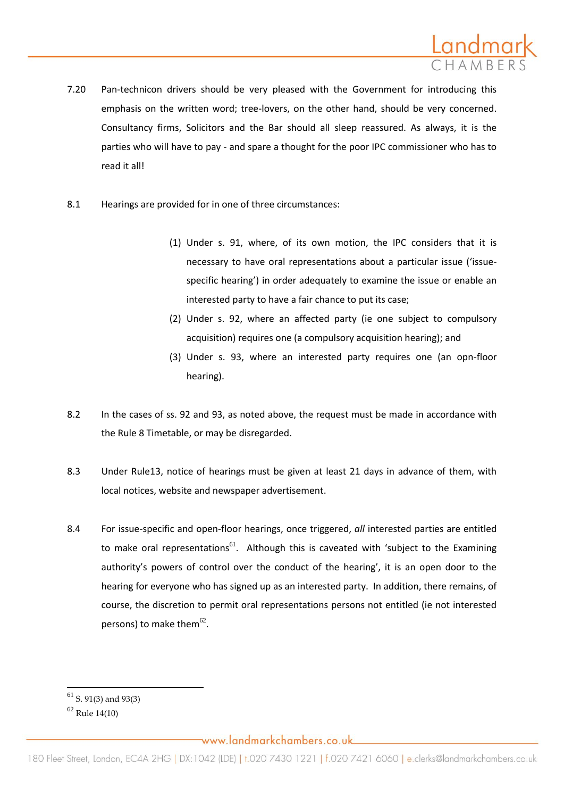

- 7.20 Pan-technicon drivers should be very pleased with the Government for introducing this emphasis on the written word; tree-lovers, on the other hand, should be very concerned. Consultancy firms, Solicitors and the Bar should all sleep reassured. As always, it is the parties who will have to pay - and spare a thought for the poor IPC commissioner who has to read it all!
- 8.1 Hearings are provided for in one of three circumstances:
	- (1) Under s. 91, where, of its own motion, the IPC considers that it is necessary to have oral representations about a particular issue ('issuespecific hearing') in order adequately to examine the issue or enable an interested party to have a fair chance to put its case;
	- (2) Under s. 92, where an affected party (ie one subject to compulsory acquisition) requires one (a compulsory acquisition hearing); and
	- (3) Under s. 93, where an interested party requires one (an opn-floor hearing).
- 8.2 In the cases of ss. 92 and 93, as noted above, the request must be made in accordance with the Rule 8 Timetable, or may be disregarded.
- 8.3 Under Rule13, notice of hearings must be given at least 21 days in advance of them, with local notices, website and newspaper advertisement.
- 8.4 For issue-specific and open-floor hearings, once triggered, *all* interested parties are entitled to make oral representations $^{61}$ . Although this is caveated with 'subject to the Examining authority's powers of control over the conduct of the hearing', it is an open door to the hearing for everyone who has signed up as an interested party. In addition, there remains, of course, the discretion to permit oral representations persons not entitled (ie not interested persons) to make them $^{62}$ .

 $61$  S. 91(3) and 93(3)

 $62$  Rule 14(10)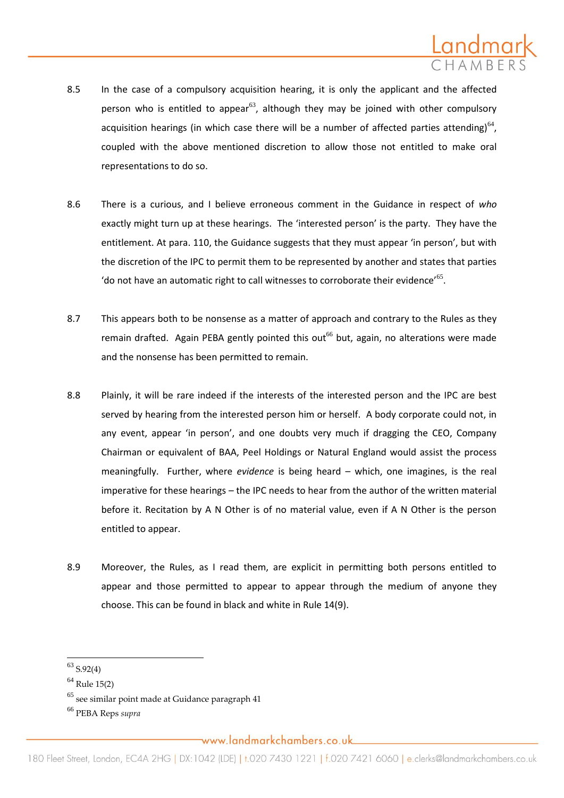

- 8.5 In the case of a compulsory acquisition hearing, it is only the applicant and the affected person who is entitled to appear<sup>63</sup>, although they may be joined with other compulsory acquisition hearings (in which case there will be a number of affected parties attending) $^{64}$ , coupled with the above mentioned discretion to allow those not entitled to make oral representations to do so.
- 8.6 There is a curious, and I believe erroneous comment in the Guidance in respect of *who* exactly might turn up at these hearings. The 'interested person' is the party. They have the entitlement. At para. 110, the Guidance suggests that they must appear 'in person', but with the discretion of the IPC to permit them to be represented by another and states that parties 'do not have an automatic right to call witnesses to corroborate their evidence'<sup>65</sup>.
- 8.7 This appears both to be nonsense as a matter of approach and contrary to the Rules as they remain drafted. Again PEBA gently pointed this out<sup>66</sup> but, again, no alterations were made and the nonsense has been permitted to remain.
- 8.8 Plainly, it will be rare indeed if the interests of the interested person and the IPC are best served by hearing from the interested person him or herself. A body corporate could not, in any event, appear 'in person', and one doubts very much if dragging the CEO, Company Chairman or equivalent of BAA, Peel Holdings or Natural England would assist the process meaningfully. Further, where *evidence* is being heard – which, one imagines, is the real imperative for these hearings – the IPC needs to hear from the author of the written material before it. Recitation by A N Other is of no material value, even if A N Other is the person entitled to appear.
- 8.9 Moreover, the Rules, as I read them, are explicit in permitting both persons entitled to appear and those permitted to appear to appear through the medium of anyone they choose. This can be found in black and white in Rule 14(9).

 $\overline{\phantom{a}}$ 

 $63$  S.92(4)

 $64$  Rule 15(2)

 $65$  see similar point made at Guidance paragraph 41

<sup>66</sup> PEBA Reps *supra*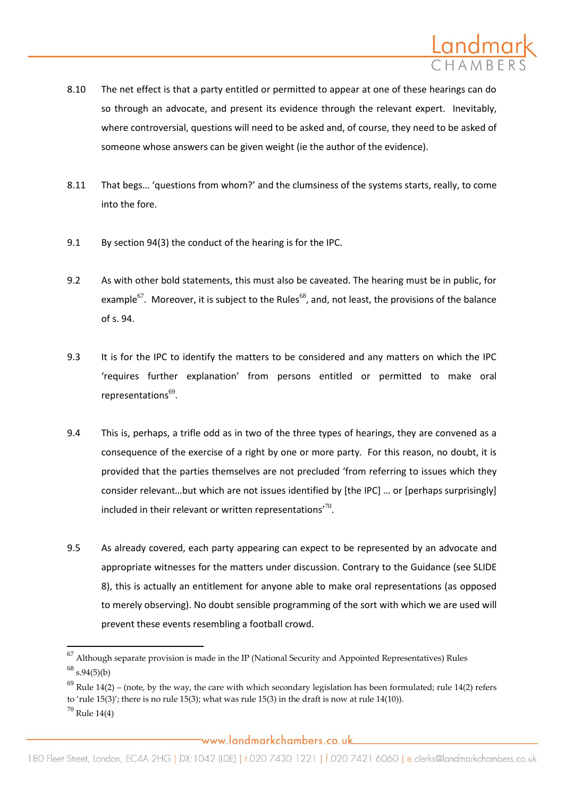

- 8.10 The net effect is that a party entitled or permitted to appear at one of these hearings can do so through an advocate, and present its evidence through the relevant expert. Inevitably, where controversial, questions will need to be asked and, of course, they need to be asked of someone whose answers can be given weight (ie the author of the evidence).
- 8.11 That begs… 'questions from whom?' and the clumsiness of the systems starts, really, to come into the fore.
- 9.1 By section 94(3) the conduct of the hearing is for the IPC.
- 9.2 As with other bold statements, this must also be caveated. The hearing must be in public, for example<sup>67</sup>. Moreover, it is subject to the Rules<sup>68</sup>, and, not least, the provisions of the balance of s. 94.
- 9.3 It is for the IPC to identify the matters to be considered and any matters on which the IPC 'requires further explanation' from persons entitled or permitted to make oral representations<sup>69</sup>.
- 9.4 This is, perhaps, a trifle odd as in two of the three types of hearings, they are convened as a consequence of the exercise of a right by one or more party. For this reason, no doubt, it is provided that the parties themselves are not precluded 'from referring to issues which they consider relevant...but which are not issues identified by [the IPC] ... or [perhaps surprisingly] included in their relevant or written representations' $^{70}$ .
- 9.5 As already covered, each party appearing can expect to be represented by an advocate and appropriate witnesses for the matters under discussion. Contrary to the Guidance (see SLIDE 8), this is actually an entitlement for anyone able to make oral representations (as opposed to merely observing). No doubt sensible programming of the sort with which we are used will prevent these events resembling a football crowd.

 $^{67}$  Although separate provision is made in the IP (National Security and Appointed Representatives) Rules  $^{68}$  s.94(5)(b)

 $^{69}$  Rule 14(2) – (note, by the way, the care with which secondary legislation has been formulated; rule 14(2) refers to 'rule 15(3)'; there is no rule 15(3); what was rule 15(3) in the draft is now at rule 14(10)).  $70$  Rule 14(4)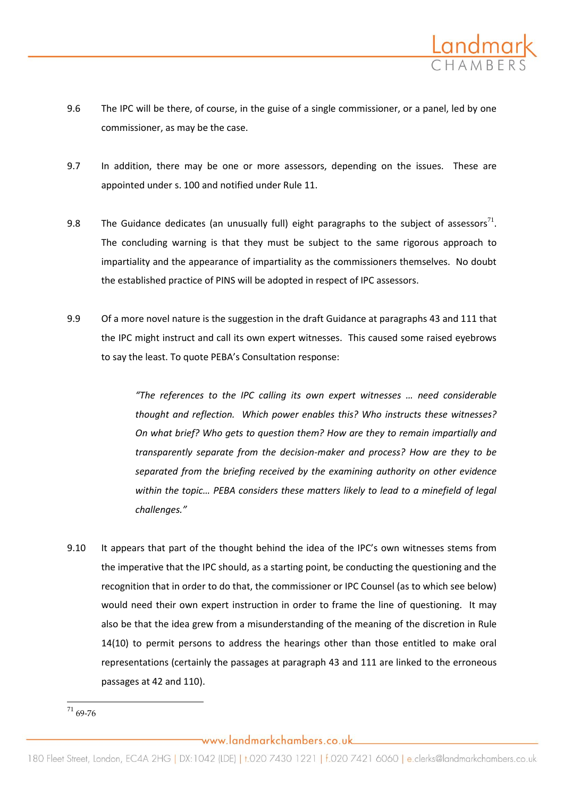

- 9.6 The IPC will be there, of course, in the guise of a single commissioner, or a panel, led by one commissioner, as may be the case.
- 9.7 In addition, there may be one or more assessors, depending on the issues. These are appointed under s. 100 and notified under Rule 11.
- 9.8 The Guidance dedicates (an unusually full) eight paragraphs to the subject of assessors<sup>71</sup>. The concluding warning is that they must be subject to the same rigorous approach to impartiality and the appearance of impartiality as the commissioners themselves. No doubt the established practice of PINS will be adopted in respect of IPC assessors.
- 9.9 Of a more novel nature is the suggestion in the draft Guidance at paragraphs 43 and 111 that the IPC might instruct and call its own expert witnesses. This caused some raised eyebrows to say the least. To quote PEBA's Consultation response:

*"The references to the IPC calling its own expert witnesses … need considerable thought and reflection. Which power enables this? Who instructs these witnesses? On what brief? Who gets to question them? How are they to remain impartially and transparently separate from the decision-maker and process? How are they to be separated from the briefing received by the examining authority on other evidence within the topic… PEBA considers these matters likely to lead to a minefield of legal challenges."*

9.10 It appears that part of the thought behind the idea of the IPC's own witnesses stems from the imperative that the IPC should, as a starting point, be conducting the questioning and the recognition that in order to do that, the commissioner or IPC Counsel (as to which see below) would need their own expert instruction in order to frame the line of questioning. It may also be that the idea grew from a misunderstanding of the meaning of the discretion in Rule 14(10) to permit persons to address the hearings other than those entitled to make oral representations (certainly the passages at paragraph 43 and 111 are linked to the erroneous passages at 42 and 110).

 $\overline{\phantom{a}}$  $^{71}$  69-76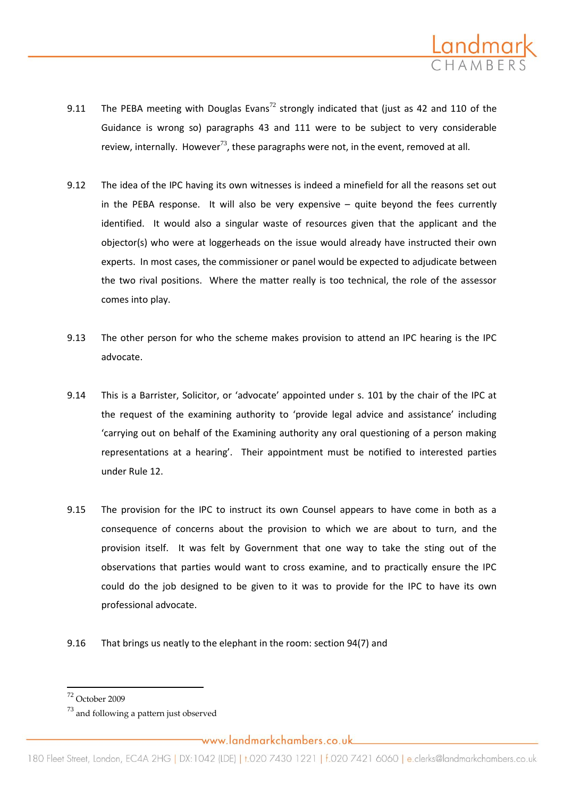

- 9.11 The PEBA meeting with Douglas Evans<sup>72</sup> strongly indicated that (just as 42 and 110 of the Guidance is wrong so) paragraphs 43 and 111 were to be subject to very considerable review, internally. However<sup>73</sup>, these paragraphs were not, in the event, removed at all.
- 9.12 The idea of the IPC having its own witnesses is indeed a minefield for all the reasons set out in the PEBA response. It will also be very expensive – quite beyond the fees currently identified. It would also a singular waste of resources given that the applicant and the objector(s) who were at loggerheads on the issue would already have instructed their own experts. In most cases, the commissioner or panel would be expected to adjudicate between the two rival positions. Where the matter really is too technical, the role of the assessor comes into play.
- 9.13 The other person for who the scheme makes provision to attend an IPC hearing is the IPC advocate.
- 9.14 This is a Barrister, Solicitor, or 'advocate' appointed under s. 101 by the chair of the IPC at the request of the examining authority to 'provide legal advice and assistance' including 'carrying out on behalf of the Examining authority any oral questioning of a person making representations at a hearing'. Their appointment must be notified to interested parties under Rule 12.
- 9.15 The provision for the IPC to instruct its own Counsel appears to have come in both as a consequence of concerns about the provision to which we are about to turn, and the provision itself. It was felt by Government that one way to take the sting out of the observations that parties would want to cross examine, and to practically ensure the IPC could do the job designed to be given to it was to provide for the IPC to have its own professional advocate.
- 9.16 That brings us neatly to the elephant in the room: section 94(7) and

<sup>72</sup> October 2009

 $^{73}$  and following a pattern just observed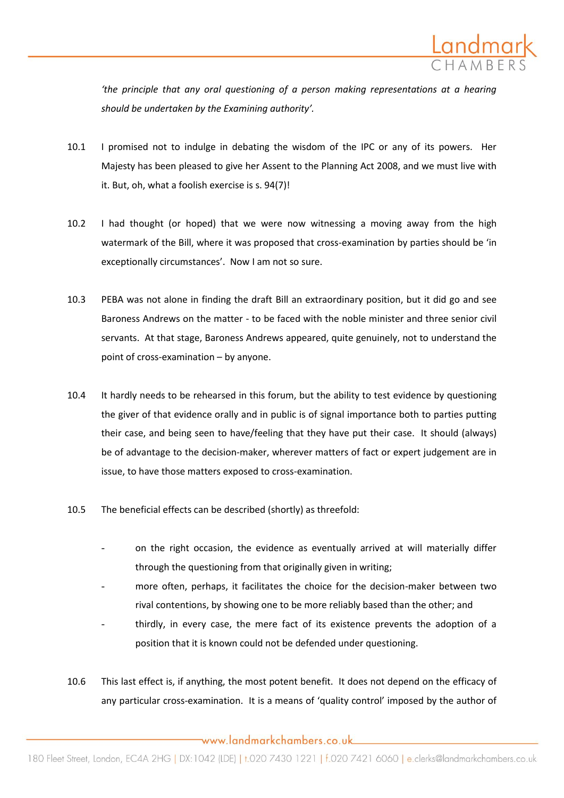

*'the principle that any oral questioning of a person making representations at a hearing should be undertaken by the Examining authority'.*

- 10.1 I promised not to indulge in debating the wisdom of the IPC or any of its powers. Her Majesty has been pleased to give her Assent to the Planning Act 2008, and we must live with it. But, oh, what a foolish exercise is s. 94(7)!
- 10.2 I had thought (or hoped) that we were now witnessing a moving away from the high watermark of the Bill, where it was proposed that cross-examination by parties should be 'in exceptionally circumstances'. Now I am not so sure.
- 10.3 PEBA was not alone in finding the draft Bill an extraordinary position, but it did go and see Baroness Andrews on the matter - to be faced with the noble minister and three senior civil servants. At that stage, Baroness Andrews appeared, quite genuinely, not to understand the point of cross-examination – by anyone.
- 10.4 It hardly needs to be rehearsed in this forum, but the ability to test evidence by questioning the giver of that evidence orally and in public is of signal importance both to parties putting their case, and being seen to have/feeling that they have put their case. It should (always) be of advantage to the decision-maker, wherever matters of fact or expert judgement are in issue, to have those matters exposed to cross-examination.
- 10.5 The beneficial effects can be described (shortly) as threefold:
	- on the right occasion, the evidence as eventually arrived at will materially differ through the questioning from that originally given in writing;
	- more often, perhaps, it facilitates the choice for the decision-maker between two rival contentions, by showing one to be more reliably based than the other; and
	- thirdly, in every case, the mere fact of its existence prevents the adoption of a position that it is known could not be defended under questioning.
- 10.6 This last effect is, if anything, the most potent benefit. It does not depend on the efficacy of any particular cross-examination. It is a means of 'quality control' imposed by the author of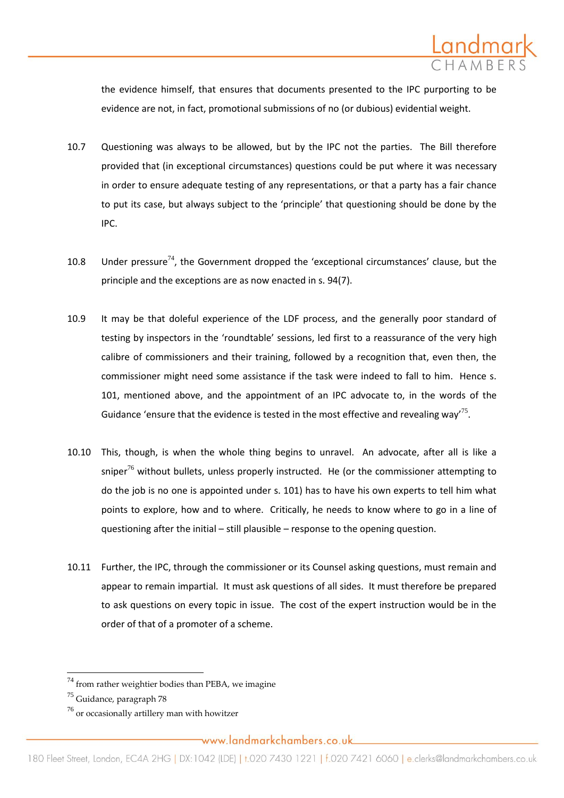

the evidence himself, that ensures that documents presented to the IPC purporting to be evidence are not, in fact, promotional submissions of no (or dubious) evidential weight.

- 10.7 Questioning was always to be allowed, but by the IPC not the parties. The Bill therefore provided that (in exceptional circumstances) questions could be put where it was necessary in order to ensure adequate testing of any representations, or that a party has a fair chance to put its case, but always subject to the 'principle' that questioning should be done by the IPC.
- 10.8 Under pressure<sup>74</sup>, the Government dropped the 'exceptional circumstances' clause, but the principle and the exceptions are as now enacted in s. 94(7).
- 10.9 It may be that doleful experience of the LDF process, and the generally poor standard of testing by inspectors in the 'roundtable' sessions, led first to a reassurance of the very high calibre of commissioners and their training, followed by a recognition that, even then, the commissioner might need some assistance if the task were indeed to fall to him. Hence s. 101, mentioned above, and the appointment of an IPC advocate to, in the words of the Guidance 'ensure that the evidence is tested in the most effective and revealing way<sup>75</sup>.
- 10.10 This, though, is when the whole thing begins to unravel. An advocate, after all is like a sniper<sup>76</sup> without bullets, unless properly instructed. He (or the commissioner attempting to do the job is no one is appointed under s. 101) has to have his own experts to tell him what points to explore, how and to where. Critically, he needs to know where to go in a line of questioning after the initial – still plausible – response to the opening question.
- 10.11 Further, the IPC, through the commissioner or its Counsel asking questions, must remain and appear to remain impartial. It must ask questions of all sides. It must therefore be prepared to ask questions on every topic in issue. The cost of the expert instruction would be in the order of that of a promoter of a scheme.

 $\overline{\phantom{a}}$ 

 $^{74}$  from rather weightier bodies than PEBA, we imagine

 $75$  Guidance, paragraph 78

 $^{76}$  or occasionally artillery man with howitzer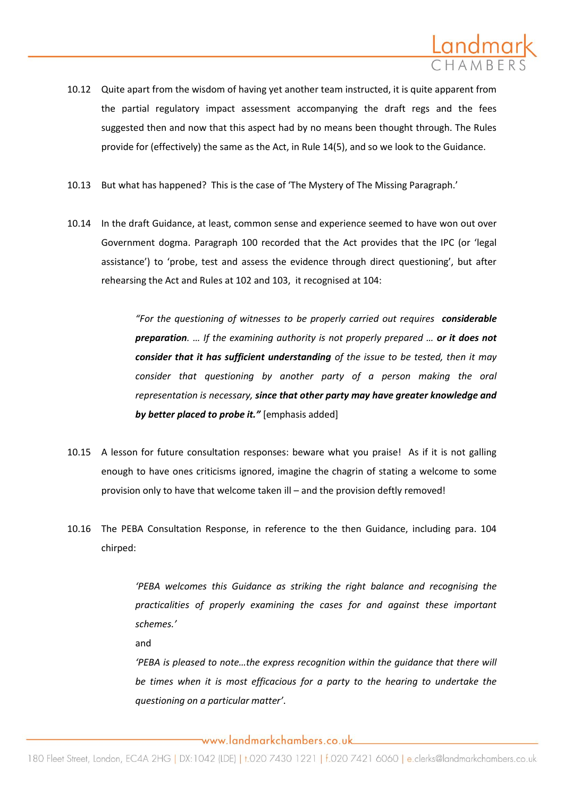

- 10.12 Quite apart from the wisdom of having yet another team instructed, it is quite apparent from the partial regulatory impact assessment accompanying the draft regs and the fees suggested then and now that this aspect had by no means been thought through. The Rules provide for (effectively) the same as the Act, in Rule 14(5), and so we look to the Guidance.
- 10.13 But what has happened? This is the case of 'The Mystery of The Missing Paragraph.'
- 10.14 In the draft Guidance, at least, common sense and experience seemed to have won out over Government dogma. Paragraph 100 recorded that the Act provides that the IPC (or 'legal assistance') to 'probe, test and assess the evidence through direct questioning', but after rehearsing the Act and Rules at 102 and 103, it recognised at 104:

*"For the questioning of witnesses to be properly carried out requires considerable preparation. … If the examining authority is not properly prepared … or it does not consider that it has sufficient understanding of the issue to be tested, then it may consider that questioning by another party of a person making the oral representation is necessary, since that other party may have greater knowledge and by better placed to probe it."* [emphasis added]

- 10.15 A lesson for future consultation responses: beware what you praise! As if it is not galling enough to have ones criticisms ignored, imagine the chagrin of stating a welcome to some provision only to have that welcome taken ill – and the provision deftly removed!
- 10.16 The PEBA Consultation Response, in reference to the then Guidance, including para. 104 chirped:

*'PEBA welcomes this Guidance as striking the right balance and recognising the practicalities of properly examining the cases for and against these important schemes.'*

and

*'PEBA is pleased to note…the express recognition within the guidance that there will be times when it is most efficacious for a party to the hearing to undertake the questioning on a particular matter'*.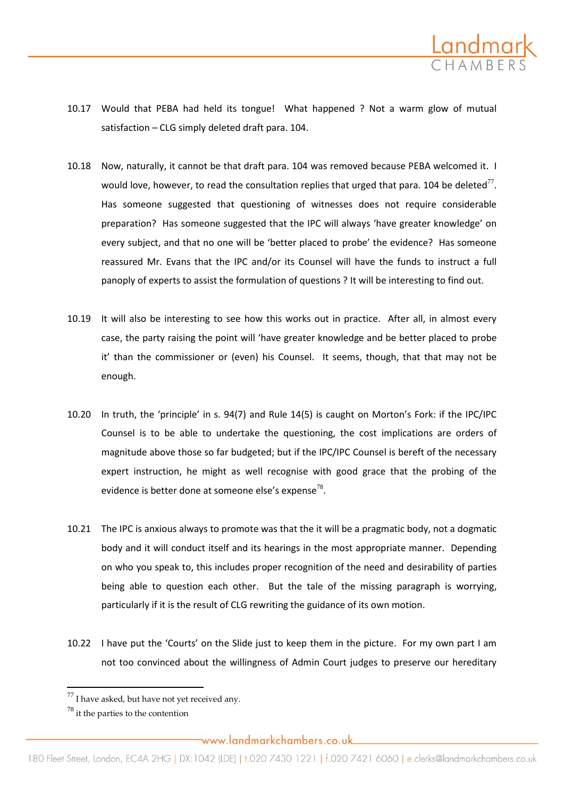

- 10.17 Would that PEBA had held its tongue! What happened ? Not a warm glow of mutual satisfaction – CLG simply deleted draft para. 104.
- 10.18 Now, naturally, it cannot be that draft para. 104 was removed because PEBA welcomed it. I would love, however, to read the consultation replies that urged that para. 104 be deleted<sup>77</sup>. Has someone suggested that questioning of witnesses does not require considerable preparation? Has someone suggested that the IPC will always 'have greater knowledge' on every subject, and that no one will be 'better placed to probe' the evidence? Has someone reassured Mr. Evans that the IPC and/or its Counsel will have the funds to instruct a full panoply of experts to assist the formulation of questions ? It will be interesting to find out.
- 10.19 It will also be interesting to see how this works out in practice. After all, in almost every case, the party raising the point will 'have greater knowledge and be better placed to probe it' than the commissioner or (even) his Counsel. It seems, though, that that may not be enough.
- 10.20 In truth, the 'principle' in s. 94(7) and Rule 14(5) is caught on Morton's Fork: if the IPC/IPC Counsel is to be able to undertake the questioning, the cost implications are orders of magnitude above those so far budgeted; but if the IPC/IPC Counsel is bereft of the necessary expert instruction, he might as well recognise with good grace that the probing of the evidence is better done at someone else's expense<sup>78</sup>.
- 10.21 The IPC is anxious always to promote was that the it will be a pragmatic body, not a dogmatic body and it will conduct itself and its hearings in the most appropriate manner. Depending on who you speak to, this includes proper recognition of the need and desirability of parties being able to question each other. But the tale of the missing paragraph is worrying, particularly if it is the result of CLG rewriting the guidance of its own motion.
- 10.22 I have put the 'Courts' on the Slide just to keep them in the picture. For my own part I am not too convinced about the willingness of Admin Court judges to preserve our hereditary

 $77$  I have asked, but have not yet received any.

 $78$  it the parties to the contention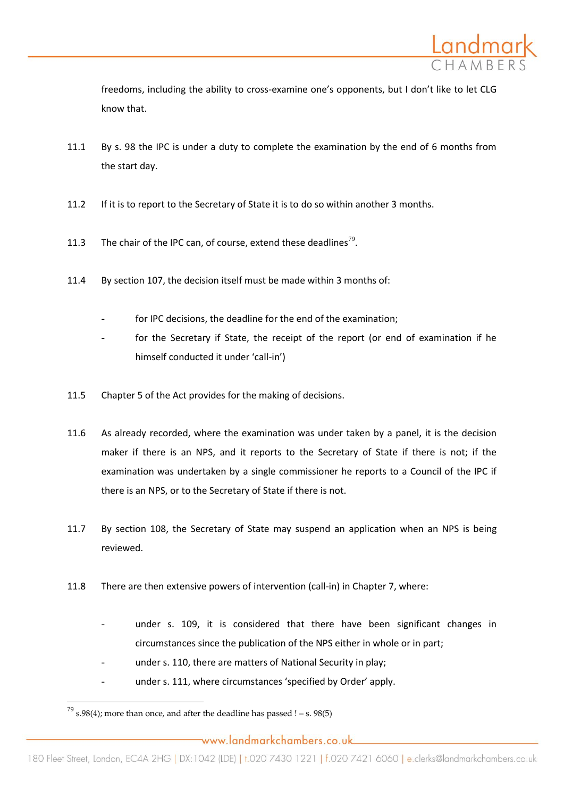

freedoms, including the ability to cross-examine one's opponents, but I don't like to let CLG know that.

- 11.1 By s. 98 the IPC is under a duty to complete the examination by the end of 6 months from the start day.
- 11.2 If it is to report to the Secretary of State it is to do so within another 3 months.
- 11.3 The chair of the IPC can, of course, extend these deadlines<sup>79</sup>.
- 11.4 By section 107, the decision itself must be made within 3 months of:
	- for IPC decisions, the deadline for the end of the examination:
	- for the Secretary if State, the receipt of the report (or end of examination if he himself conducted it under 'call-in')
- 11.5 Chapter 5 of the Act provides for the making of decisions.
- 11.6 As already recorded, where the examination was under taken by a panel, it is the decision maker if there is an NPS, and it reports to the Secretary of State if there is not; if the examination was undertaken by a single commissioner he reports to a Council of the IPC if there is an NPS, or to the Secretary of State if there is not.
- 11.7 By section 108, the Secretary of State may suspend an application when an NPS is being reviewed.
- 11.8 There are then extensive powers of intervention (call-in) in Chapter 7, where:
	- under s. 109, it is considered that there have been significant changes in circumstances since the publication of the NPS either in whole or in part;
	- under s. 110, there are matters of National Security in play;
	- under s. 111, where circumstances 'specified by Order' apply.

 $\overline{\phantom{a}}$ 

 $^{79}$  s.98(4); more than once, and after the deadline has passed ! – s. 98(5)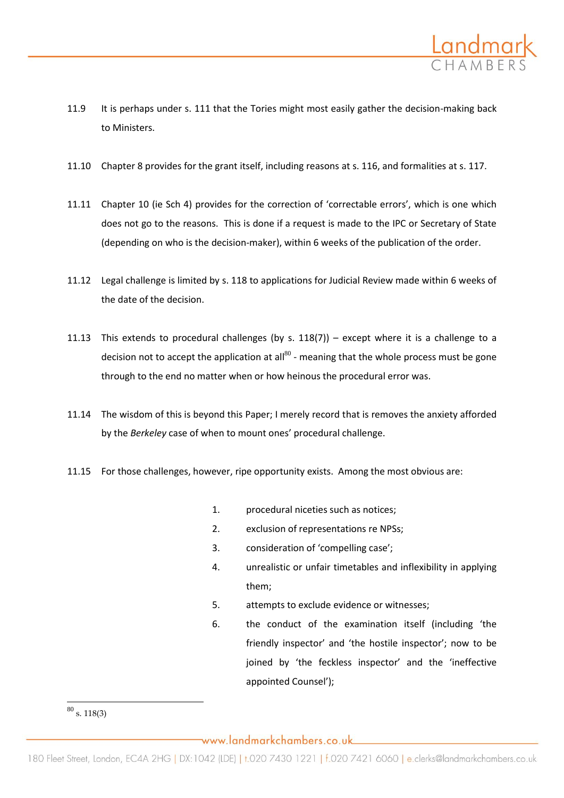

- 11.9 It is perhaps under s. 111 that the Tories might most easily gather the decision-making back to Ministers.
- 11.10 Chapter 8 provides for the grant itself, including reasons at s. 116, and formalities at s. 117.
- 11.11 Chapter 10 (ie Sch 4) provides for the correction of 'correctable errors', which is one which does not go to the reasons. This is done if a request is made to the IPC or Secretary of State (depending on who is the decision-maker), within 6 weeks of the publication of the order.
- 11.12 Legal challenge is limited by s. 118 to applications for Judicial Review made within 6 weeks of the date of the decision.
- 11.13 This extends to procedural challenges (by s. 118(7)) except where it is a challenge to a decision not to accept the application at all $^{80}$  - meaning that the whole process must be gone through to the end no matter when or how heinous the procedural error was.
- 11.14 The wisdom of this is beyond this Paper; I merely record that is removes the anxiety afforded by the *Berkeley* case of when to mount ones' procedural challenge.
- 11.15 For those challenges, however, ripe opportunity exists. Among the most obvious are:
	- 1. procedural niceties such as notices;
	- 2. exclusion of representations re NPSs;
	- 3. consideration of 'compelling case';
	- 4. unrealistic or unfair timetables and inflexibility in applying them;
	- 5. attempts to exclude evidence or witnesses;
	- 6. the conduct of the examination itself (including 'the friendly inspector' and 'the hostile inspector'; now to be joined by 'the feckless inspector' and the 'ineffective appointed Counsel');

 $\overline{\phantom{a}}$  $80$  s. 118(3)